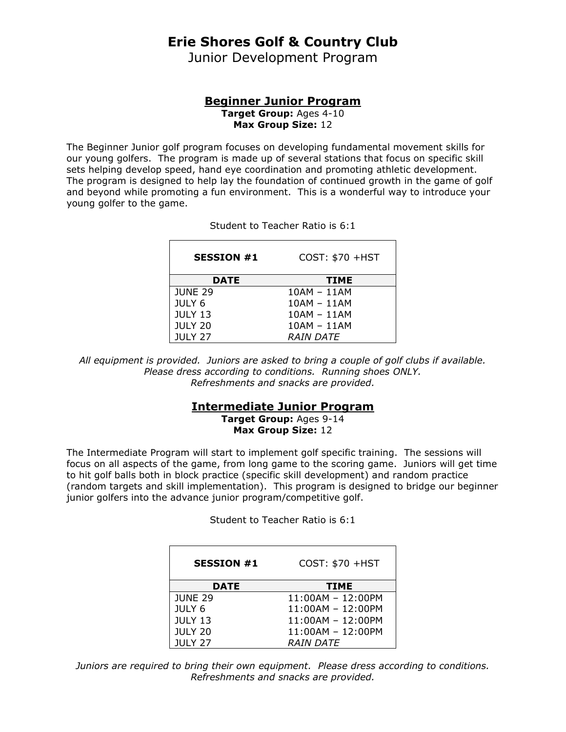# **Erie Shores Golf & Country Club**

Junior Development Program

#### **Beginner Junior Program Target Group:** Ages 4-10 **Max Group Size:** 12

The Beginner Junior golf program focuses on developing fundamental movement skills for our young golfers. The program is made up of several stations that focus on specific skill sets helping develop speed, hand eye coordination and promoting athletic development. The program is designed to help lay the foundation of continued growth in the game of golf and beyond while promoting a fun environment. This is a wonderful way to introduce your young golfer to the game.

| <b>SESSION #1</b> | COST: \$70 +HST  |
|-------------------|------------------|
| <b>DATE</b>       | <b>TIME</b>      |
| <b>JUNE 29</b>    | $10AM - 11AM$    |
| JULY 6            | $10AM - 11AM$    |
| <b>JULY 13</b>    | $10AM - 11AM$    |
| <b>JULY 20</b>    | $10AM - 11AM$    |
| <b>JULY 27</b>    | <b>RAIN DATE</b> |

Student to Teacher Ratio is 6:1

*All equipment is provided. Juniors are asked to bring a couple of golf clubs if available. Please dress according to conditions. Running shoes ONLY. Refreshments and snacks are provided.*

### **Intermediate Junior Program**

**Target Group:** Ages 9-14 **Max Group Size:** 12

The Intermediate Program will start to implement golf specific training. The sessions will focus on all aspects of the game, from long game to the scoring game. Juniors will get time to hit golf balls both in block practice (specific skill development) and random practice (random targets and skill implementation). This program is designed to bridge our beginner junior golfers into the advance junior program/competitive golf.

Student to Teacher Ratio is 6:1

| <b>SESSION #1</b> | COST: \$70 +HST     |
|-------------------|---------------------|
| <b>DATE</b>       | <b>TIME</b>         |
| <b>JUNE 29</b>    | $11:00AM - 12:00PM$ |
| JULY 6            | $11:00AM - 12:00PM$ |
| <b>JULY 13</b>    | $11:00AM - 12:00PM$ |
| <b>JULY 20</b>    | $11:00AM - 12:00PM$ |
| <b>JULY 27</b>    | <i>RAIN DATE</i>    |

*Juniors are required to bring their own equipment. Please dress according to conditions. Refreshments and snacks are provided.*